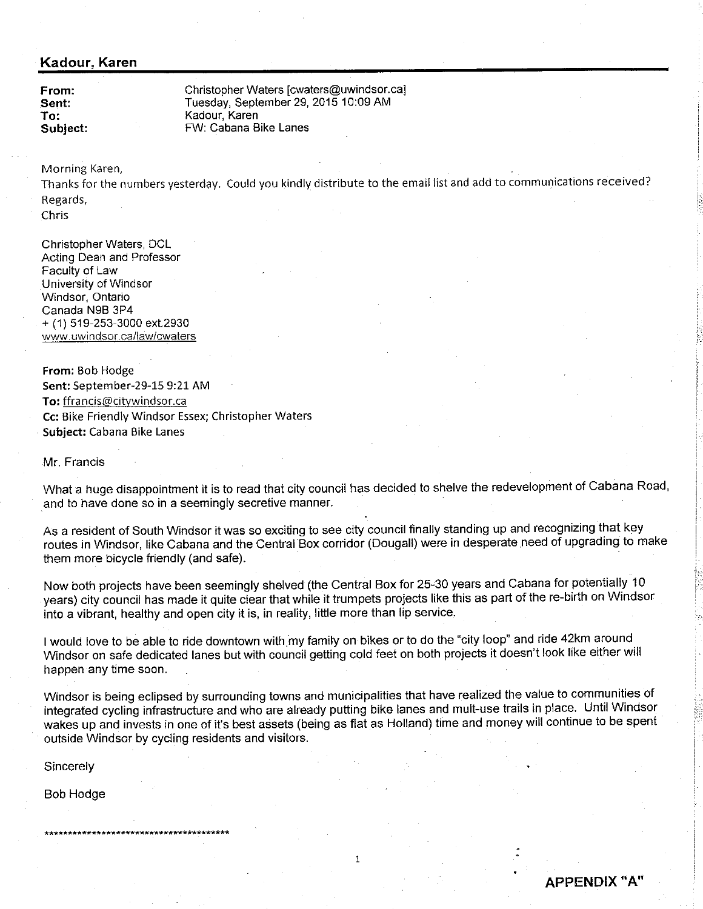## Kadour, Karen

From: Sent: To: Subiect: Christopher Waters [cwaters@uwindsor.ca] Tuesday, September 29, 2015 10:09 AM Kadour, Karen FW: Cabana Bike Lanes

Morning Karen,

Thanks for the numbers yesterday. Could you kindly distribute to the email list and add to communications received? Regards,

**Chris** 

Christopher Waters, DCL Acting Dean and Professor Faculty of Law University of Windsor Windsor, Ontario Canada N98 3P4 + (1) 519-253-3000 ext.2930 www.uwindsor.ca/law/cwaters

From: Bob Hodge Sent: September-29-15 9:21 AM To: ffrancis@citywindsor.ca Cc: Bike Friendly Windsor Essex; Christopher Waters Subject: Cabana Bike Lanes

Mr. Francis

What a huge disappointment it is to read that city council has decided to shelve the redevelopment of Cabana Road, and to have done so in a seemingly secretive manner.

As a resident of South Windsor it was so exciting to see city council finally standing up and recognizing that key routes in Windsor, like Cabana and the Central Box corridor (Dougall) were in desperate need of upgrading to make them more bicycle friendly (and safe).

Now both projects have been seemingly shelved (the Central Box for 25-30 years and Cabana for potentially 10 years) city council has made it quite ciear that while it trumpets projects like this as part of the re-birth on Windsor into a vibrant, healthy and open city it is, in reality, little more than lip service.

I would love to be able to ride downtown with my family on bikes or to do the "city loop" and ride 42km around Windsor on safe dedicated lanes but with council getting cold feet on both projects it doesn't look like either will happen any time soon.

Windsor is being eclipsed by surrounding towns and municipalities that have realized the value to communities of integrated cycling infrastruciure and who are already putting bike lanes and mult-use trails in place. Until Windsor wakés up and invests in one of it's best assets (being as flat as Holland) time and money will continue to be spent outside Windsor by cycling residents and visitors.

 $\overline{1}$ 

Sincerely

Bob Hodge

APPENDIX "A'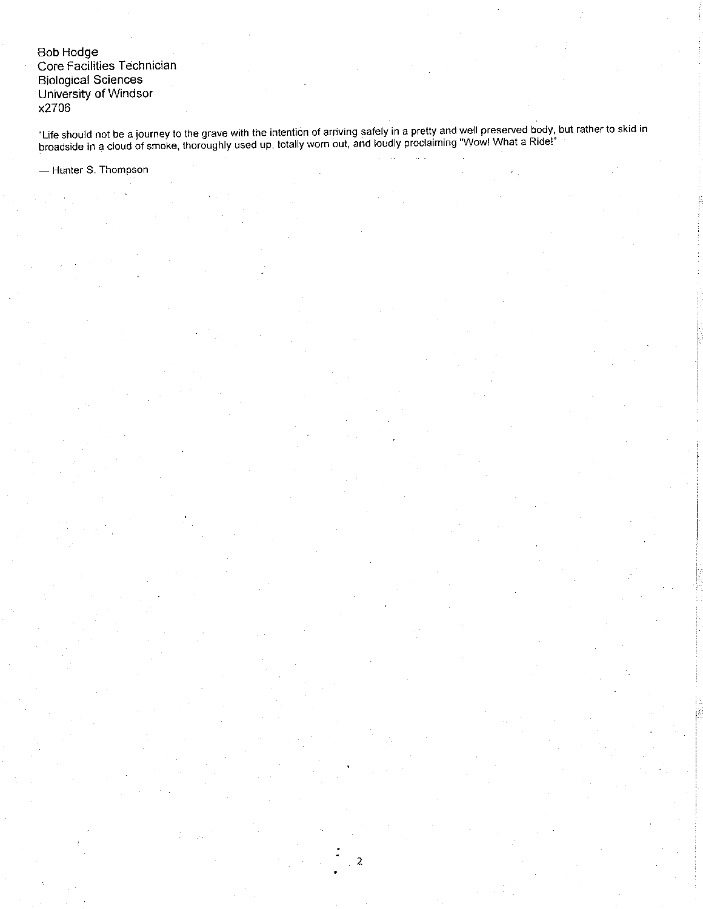**Bob Hodge** Core Facilities Technician **Biological Sciences** University of Windsor x2706

"Life should not be a journey to the grave with the intention of arriving safely in a pretty and well preserved body, but rather to skid in<br>broadside in a cloud of smoke, thoroughly used up, totally worn out, and loudly pr

 $\overline{2}$ 

- Hunter S. Thompson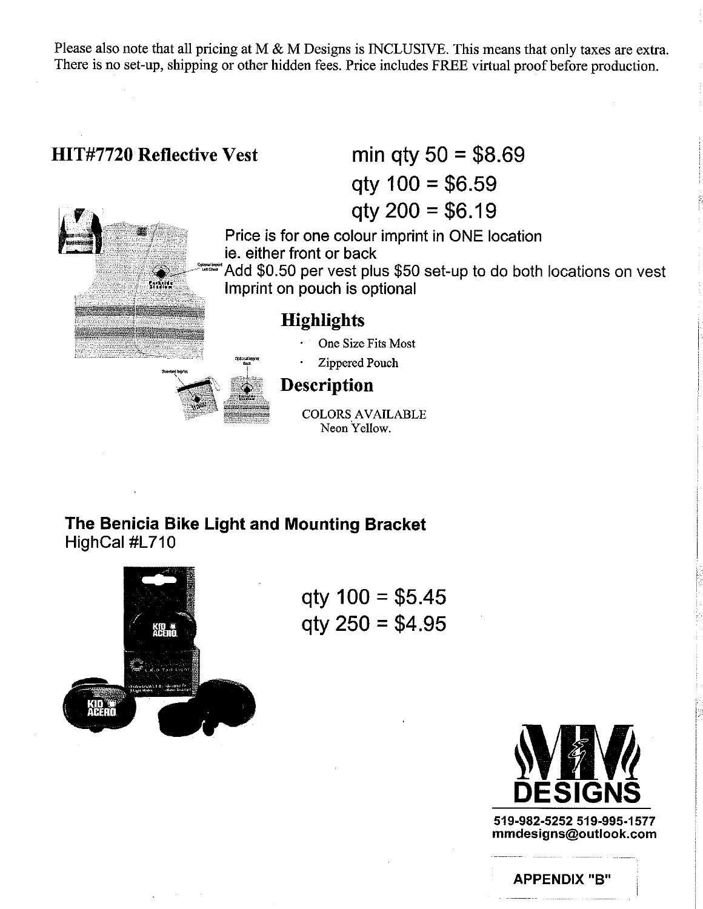Please also note that all pricing at M  $\&$  M Designs is INCLUSIVE. This means that only taxes are extra. There is no set-up, shipping or other hidden fees. Price includes FREE virtual proof before production.



The Benicia Bike Light and Mounting Bracket HighCal #L710



 $qty 100 = $5.45$  $q$ ty 250 = \$4.95



519-982-5252 519-995-1577 mmdesigns@outlook.com

**APPENDIX "B"**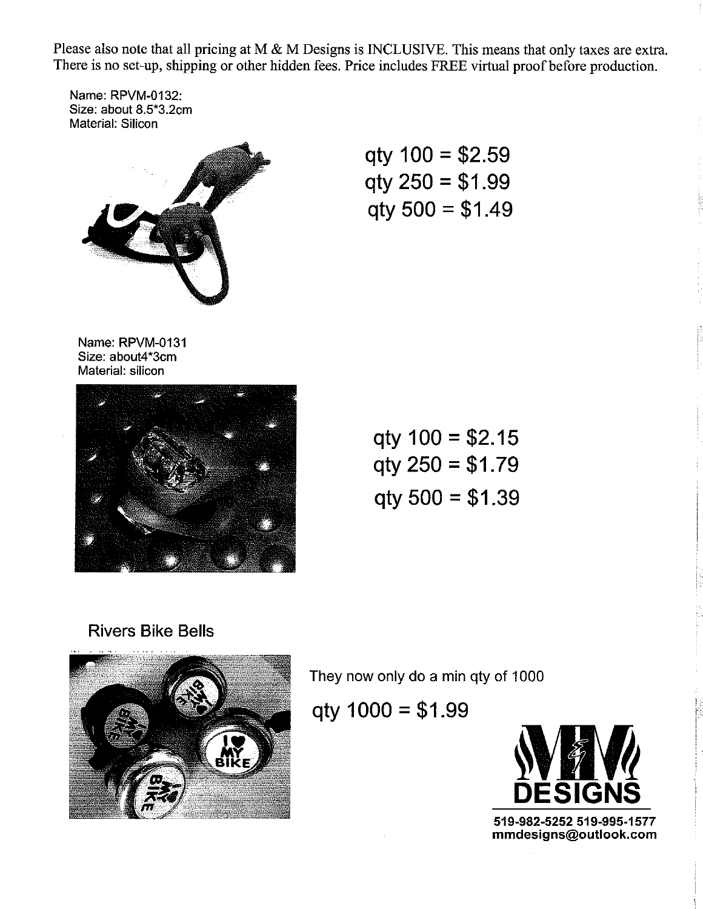Please also note that all pricing at M & M Designs is INCLUSIVE. This means that only taxes are extra. There is no set-up, shipping or other hidden fees. Price includes FREE virtual proof before production.

Name: RPVM-O132: Size: about 8.5"3.2cm Material: Silicon



qty 100 = \$2.59 qty 250 = \$1.99 qty 500 = \$1.49

Name: RPVM-O131 Size: about4"3cm Material: silicon



100 = \$2.15 qtv 250 = \$1.79 qty qty 500 = \$1.39

# Rivers Bike Bells



They now only do a min qty of 1000

qty  $1000 = $1.99$ 



519-982-5252 519-995-1577 mmdesigns@outlook.com